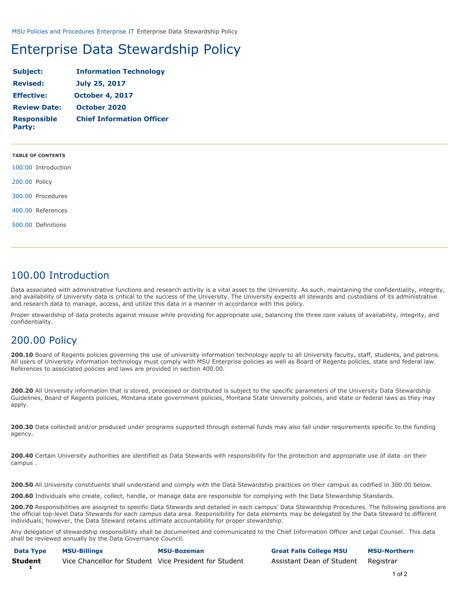[MSU Policies and Procedures](https://www.montana.edu/policy/) [Enterprise IT](https://www.montana.edu/policy/enterprise_it/) Enterprise Data Stewardship Policy

# Enterprise Data Stewardship Policy

| Subject:                            | <b>Information Technology</b>    |  |
|-------------------------------------|----------------------------------|--|
| <b>Revised:</b>                     | <b>July 25, 2017</b>             |  |
| <b>Effective:</b>                   | <b>October 4, 2017</b>           |  |
| <b>Review Date:</b>                 | October 2020                     |  |
| <b>Responsible</b><br><b>Party:</b> | <b>Chief Information Officer</b> |  |

| <b>TABLE OF CONTENTS</b>   |
|----------------------------|
| 100.00 Introduction<br>. 1 |
| 200.00 Policy<br><b></b>   |
| 300.00 Procedures<br>. 1   |
| 400.00 References<br>.     |
| 500.00 Definitions<br>.    |

### 100.00 Introduction

Data associated with administrative functions and research activity is a vital asset to the University. As such, maintaining the confidentiality, integrity, and availability of University data is critical to the success of the University. The University expects all stewards and custodians of its administrative and research data to manage, access, and utilize this data in a manner in accordance with this policy.

Proper stewardship of data protects against misuse while providing for appropriate use, balancing the three core values of availability, integrity, and confidentiality.

### 200.00 Policy

**200.10** Board of Regents policies governing the use of university information technology apply to all University faculty, staff, students, and patrons. All users of University information technology must comply with MSU Enterprise policies as well as Board of Regents policies, state and federal law. References to associated policies and laws are provided in section 400.00.

**200.20** All University information that is stored, processed or distributed is subject to the specific parameters of the University Data Stewardship Guidelines, Board of Regents policies, Montana state government policies, Montana State University policies, and state or federal laws as they may apply.

**200.30** Data collected and/or produced under programs supported through external funds may also fall under requirements specific to the funding agency.

**200.40** Certain University authorities are identified as Data Stewards with responsibility for the protection and appropriate use of data on their campus .

**200.50** All University constituents shall understand and comply with the Data Stewardship practices on their campus as codified in 300.00 below.

**200.60** Individuals who create, collect, handle, or manage data are responsible for complying with the Data Stewardship Standards.

**200.70** Responsibilities are assigned to specific Data Stewards and detailed in each campus' Data Stewardship Procedures. The following positions are the official top-level Data Stewards for each campus data area. Responsibility for data elements may be delegated by the Data Steward to different individuals; however, the Data Steward retains ultimate accountability for proper stewardship.

Any delegation of stewardship responsibility shall be documented and communicated to the Chief Information Officer and Legal Counsel. This data shall be reviewed annually by the Data Governance Council.

| Data Type      | <b>MSU-Billings</b>                                    | <b>MSU-Bozeman</b> | <b>Great Falls College MSU</b>      | <b>MSU-Northern</b> |
|----------------|--------------------------------------------------------|--------------------|-------------------------------------|---------------------|
| <b>Student</b> | Vice Chancellor for Student Vice President for Student |                    | Assistant Dean of Student Registrar |                     |